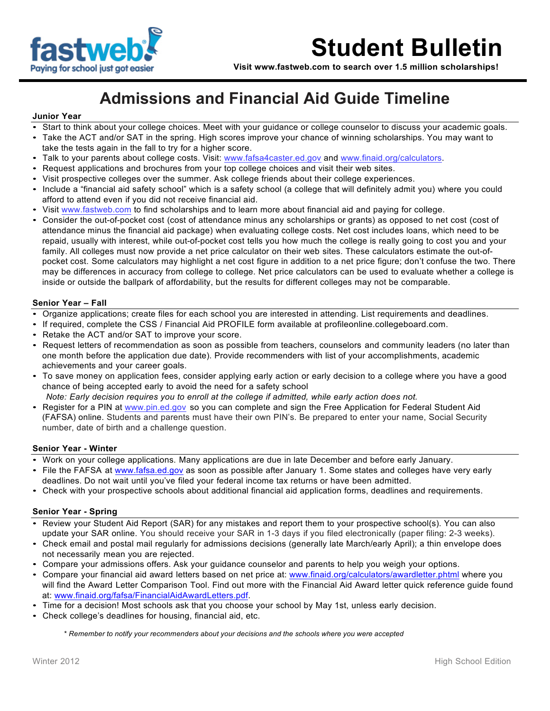

**Visit www.fastweb.com to search over 1.5 million scholarships!**

### **Admissions and Financial Aid Guide Timeline**

### **Junior Year**

- Start to think about your college choices. Meet with your guidance or college counselor to discuss your academic goals.
- Take the ACT and/or SAT in the spring. High scores improve your chance of winning scholarships. You may want to take the tests again in the fall to try for a higher score.
- Talk to your parents about college costs. Visit: www.fafsa4caster.ed.gov and www.finaid.org/calculators.
- Request applications and brochures from your top college choices and visit their web sites.
- Visit prospective colleges over the summer. Ask college friends about their college experiences.
- Include a "financial aid safety school" which is a safety school (a college that will definitely admit you) where you could afford to attend even if you did not receive financial aid.
- Visit www.fastweb.com to find scholarships and to learn more about financial aid and paying for college.
- Consider the out-of-pocket cost (cost of attendance minus any scholarships or grants) as opposed to net cost (cost of attendance minus the financial aid package) when evaluating college costs. Net cost includes loans, which need to be repaid, usually with interest, while out-of-pocket cost tells you how much the college is really going to cost you and your family. All colleges must now provide a net price calculator on their web sites. These calculators estimate the out-ofpocket cost. Some calculators may highlight a net cost figure in addition to a net price figure; don't confuse the two. There may be differences in accuracy from college to college. Net price calculators can be used to evaluate whether a college is inside or outside the ballpark of affordability, but the results for different colleges may not be comparable.

### **Senior Year – Fall**

- Organize applications; create files for each school you are interested in attending. List requirements and deadlines.
- If required, complete the CSS / Financial Aid PROFILE form available at profileonline.collegeboard.com.
- Retake the ACT and/or SAT to improve your score.
- Request letters of recommendation as soon as possible from teachers, counselors and community leaders (no later than one month before the application due date). Provide recommenders with list of your accomplishments, academic achievements and your career goals.
- To save money on application fees, consider applying early action or early decision to a college where you have a good chance of being accepted early to avoid the need for a safety school
- *Note: Early decision requires you to enroll at the college if admitted, while early action does not.*
- Register for a PIN at www.pin.ed.gov so you can complete and sign the Free Application for Federal Student Aid (FAFSA) online. Students and parents must have their own PIN's. Be prepared to enter your name, Social Security number, date of birth and a challenge question.

### **Senior Year - Winter**

- Work on your college applications. Many applications are due in late December and before early January.
- File the FAFSA at www.fafsa.ed.gov as soon as possible after January 1. Some states and colleges have very early deadlines. Do not wait until you've filed your federal income tax returns or have been admitted.
- Check with your prospective schools about additional financial aid application forms, deadlines and requirements.

### **Senior Year - Spring**

- Review your Student Aid Report (SAR) for any mistakes and report them to your prospective school(s). You can also update your SAR online. You should receive your SAR in 1-3 days if you filed electronically (paper filing: 2-3 weeks).
- Check email and postal mail regularly for admissions decisions (generally late March/early April); a thin envelope does not necessarily mean you are rejected.
- Compare your admissions offers. Ask your guidance counselor and parents to help you weigh your options.
- Compare your financial aid award letters based on net price at: www.finaid.org/calculators/awardletter.phtml where you will find the Award Letter Comparison Tool. Find out more with the Financial Aid Award letter quick reference guide found at: www.finaid.org/fafsa/FinancialAidAwardLetters.pdf.
- Time for a decision! Most schools ask that you choose your school by May 1st, unless early decision.
- Check college's deadlines for housing, financial aid, etc.

*\* Remember to notify your recommenders about your decisions and the schools where you were accepted*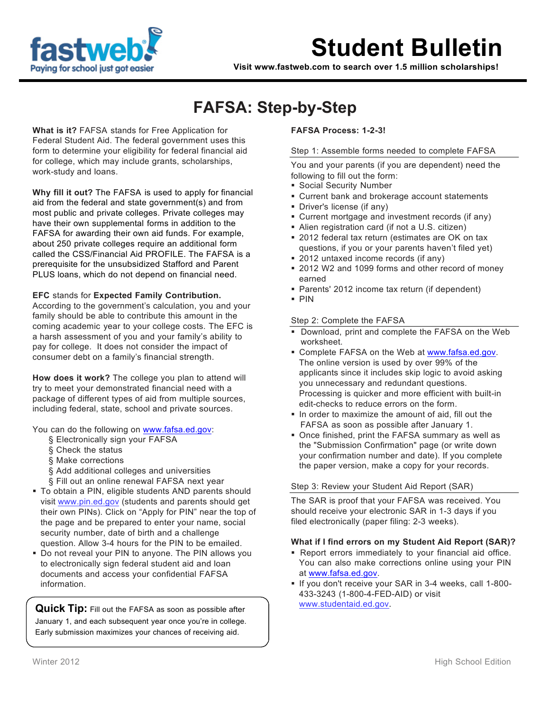

**Visit www.fastweb.com to search over 1.5 million scholarships!**

## **FAFSA: Step-by-Step**

**What is it?** FAFSA stands for Free Application for Federal Student Aid. The federal government uses this form to determine your eligibility for federal financial aid for college, which may include grants, scholarships, work-study and loans.

**Why fill it out?** The FAFSA is used to apply for financial aid from the federal and state government(s) and from most public and private colleges. Private colleges may have their own supplemental forms in addition to the FAFSA for awarding their own aid funds. For example, about 250 private colleges require an additional form called the CSS/Financial Aid PROFILE. The FAFSA is a prerequisite for the unsubsidized Stafford and Parent PLUS loans, which do not depend on financial need.

### **EFC** stands for **Expected Family Contribution.**

According to the government's calculation, you and your family should be able to contribute this amount in the coming academic year to your college costs. The EFC is a harsh assessment of you and your family's ability to pay for college. It does not consider the impact of consumer debt on a family's financial strength.

**How does it work?** The college you plan to attend will try to meet your demonstrated financial need with a package of different types of aid from multiple sources, including federal, state, school and private sources.

You can do the following on www.fafsa.ed.gov:

- § Electronically sign your FAFSA
- § Check the status
- § Make corrections
- § Add additional colleges and universities
- § Fill out an online renewal FAFSA next year
- To obtain a PIN, eligible students AND parents should visit www.pin.ed.gov (students and parents should get their own PINs). Click on "Apply for PIN" near the top of the page and be prepared to enter your name, social security number, date of birth and a challenge question. Allow 3-4 hours for the PIN to be emailed.
- Do not reveal your PIN to anyone. The PIN allows you to electronically sign federal student aid and loan documents and access your confidential FAFSA information.

**Quick Tip:** Fill out the FAFSA as soon as possible after January 1, and each subsequent year once you're in college. Early submission maximizes your chances of receiving aid.

### **FAFSA Process: 1-2-3!**

### Step 1: Assemble forms needed to complete FAFSA

You and your parents (if you are dependent) need the following to fill out the form:

- **Social Security Number**
- Current bank and brokerage account statements
- Driver's license (if any)
- Current mortgage and investment records (if any)
- Alien registration card (if not a U.S. citizen)
- 2012 federal tax return (estimates are OK on tax questions, if you or your parents haven't filed yet)
- 2012 untaxed income records (if any)
- 2012 W2 and 1099 forms and other record of money earned
- Parents' 2012 income tax return (if dependent)
- PIN

### Step 2: Complete the FAFSA

- Download, print and complete the FAFSA on the Web worksheet.
- Complete FAFSA on the Web at www.fafsa.ed.gov. The online version is used by over 99% of the applicants since it includes skip logic to avoid asking you unnecessary and redundant questions. Processing is quicker and more efficient with built-in edit-checks to reduce errors on the form.
- In order to maximize the amount of aid, fill out the FAFSA as soon as possible after January 1.
- Once finished, print the FAFSA summary as well as the "Submission Confirmation" page (or write down your confirmation number and date). If you complete the paper version, make a copy for your records.

### Step 3: Review your Student Aid Report (SAR)

The SAR is proof that your FAFSA was received. You should receive your electronic SAR in 1-3 days if you filed electronically (paper filing: 2-3 weeks).

### **What if I find errors on my Student Aid Report (SAR)?**

- Report errors immediately to your financial aid office. You can also make corrections online using your PIN at www.fafsa.ed.gov.
- If you don't receive your SAR in 3-4 weeks, call 1-800- 433-3243 (1-800-4-FED-AID) or visit www.studentaid.ed.gov.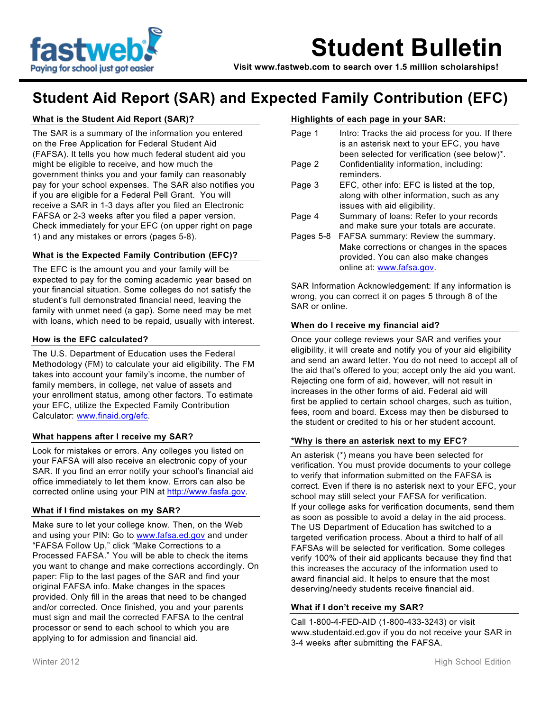

**Visit www.fastweb.com to search over 1.5 million scholarships!**

### **Student Aid Report (SAR) and Expected Family Contribution (EFC)**

### **What is the Student Aid Report (SAR)?**

The SAR is a summary of the information you entered on the Free Application for Federal Student Aid (FAFSA). It tells you how much federal student aid you might be eligible to receive, and how much the government thinks you and your family can reasonably pay for your school expenses. The SAR also notifies you if you are eligible for a Federal Pell Grant. You will receive a SAR in 1-3 days after you filed an Electronic FAFSA or 2-3 weeks after you filed a paper version. Check immediately for your EFC (on upper right on page 1) and any mistakes or errors (pages 5-8).

### **What is the Expected Family Contribution (EFC)?**

The EFC is the amount you and your family will be expected to pay for the coming academic year based on your financial situation. Some colleges do not satisfy the student's full demonstrated financial need, leaving the family with unmet need (a gap). Some need may be met with loans, which need to be repaid, usually with interest.

### **How is the EFC calculated?**

The U.S. Department of Education uses the Federal Methodology (FM) to calculate your aid eligibility. The FM takes into account your family's income, the number of family members, in college, net value of assets and your enrollment status, among other factors. To estimate your EFC, utilize the Expected Family Contribution Calculator: www.finaid.org/efc.

### **What happens after I receive my SAR?**

Look for mistakes or errors. Any colleges you listed on your FAFSA will also receive an electronic copy of your SAR. If you find an error notify your school's financial aid office immediately to let them know. Errors can also be corrected online using your PIN at http://www.fasfa.gov.

### **What if I find mistakes on my SAR?**

Make sure to let your college know. Then, on the Web and using your PIN: Go to www.fafsa.ed.gov and under "FAFSA Follow Up," click "Make Corrections to a Processed FAFSA." You will be able to check the items you want to change and make corrections accordingly. On paper: Flip to the last pages of the SAR and find your original FAFSA info. Make changes in the spaces provided. Only fill in the areas that need to be changed and/or corrected. Once finished, you and your parents must sign and mail the corrected FAFSA to the central processor or send to each school to which you are applying to for admission and financial aid.

### **Highlights of each page in your SAR:**

| Page 1    | Intro: Tracks the aid process for you. If there<br>is an asterisk next to your EFC, you have<br>been selected for verification (see below)*.        |
|-----------|-----------------------------------------------------------------------------------------------------------------------------------------------------|
| Page 2    | Confidentiality information, including:<br>reminders.                                                                                               |
| Page 3    | EFC, other info: EFC is listed at the top,<br>along with other information, such as any<br>issues with aid eligibility.                             |
| Page 4    | Summary of loans: Refer to your records<br>and make sure your totals are accurate.                                                                  |
| Pages 5-8 | FAFSA summary: Review the summary.<br>Make corrections or changes in the spaces<br>provided. You can also make changes<br>online at: www.fafsa.gov. |

SAR Information Acknowledgement: If any information is wrong, you can correct it on pages 5 through 8 of the SAR or online.

### **When do I receive my financial aid?**

Once your college reviews your SAR and verifies your eligibility, it will create and notify you of your aid eligibility and send an award letter. You do not need to accept all of the aid that's offered to you; accept only the aid you want. Rejecting one form of aid, however, will not result in increases in the other forms of aid. Federal aid will first be applied to certain school charges, such as tuition, fees, room and board. Excess may then be disbursed to the student or credited to his or her student account.

### **\*Why is there an asterisk next to my EFC?**

An asterisk (\*) means you have been selected for verification. You must provide documents to your college to verify that information submitted on the FAFSA is correct. Even if there is no asterisk next to your EFC, your school may still select your FAFSA for verification. If your college asks for verification documents, send them as soon as possible to avoid a delay in the aid process. The US Department of Education has switched to a targeted verification process. About a third to half of all FAFSAs will be selected for verification. Some colleges verify 100% of their aid applicants because they find that this increases the accuracy of the information used to award financial aid. It helps to ensure that the most deserving/needy students receive financial aid.

### **What if I don't receive my SAR?**

Call 1-800-4-FED-AID (1-800-433-3243) or visit www.studentaid.ed.gov if you do not receive your SAR in 3-4 weeks after submitting the FAFSA.